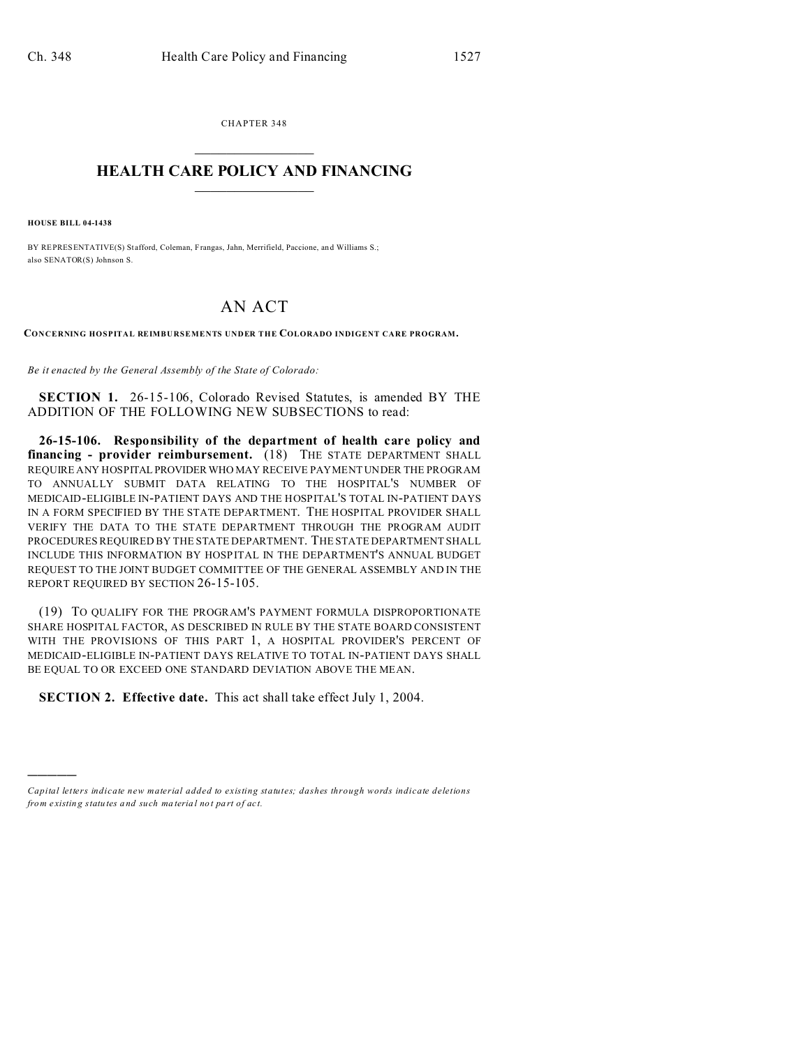CHAPTER 348  $\overline{\phantom{a}}$  , where  $\overline{\phantom{a}}$ 

## **HEALTH CARE POLICY AND FINANCING**  $\_$   $\_$   $\_$   $\_$   $\_$   $\_$   $\_$   $\_$

**HOUSE BILL 04-1438**

)))))

BY REPRESENTATIVE(S) Stafford, Coleman, Frangas, Jahn, Merrifield, Paccione, and Williams S.; also SENATOR(S) Johnson S.

## AN ACT

**CONCERNING HOSPITAL REIMBURSEMENTS UNDER THE COLORADO INDIGENT CARE PROGRAM.**

*Be it enacted by the General Assembly of the State of Colorado:*

**SECTION 1.** 26-15-106, Colorado Revised Statutes, is amended BY THE ADDITION OF THE FOLLOWING NEW SUBSECTIONS to read:

**26-15-106. Responsibility of the department of health care policy and financing - provider reimbursement.** (18) THE STATE DEPARTMENT SHALL REQUIRE ANY HOSPITAL PROVIDER WHO MAY RECEIVE PAYMENT UNDER THE PROGRAM TO ANNUALLY SUBMIT DATA RELATING TO THE HOSPITAL'S NUMBER OF MEDICAID-ELIGIBLE IN-PATIENT DAYS AND THE HOSPITAL'S TOTAL IN-PATIENT DAYS IN A FORM SPECIFIED BY THE STATE DEPARTMENT. THE HOSPITAL PROVIDER SHALL VERIFY THE DATA TO THE STATE DEPARTMENT THROUGH THE PROGRAM AUDIT PROCEDURES REQUIRED BY THE STATE DEPARTMENT. THE STATE DEPARTMENT SHALL INCLUDE THIS INFORMATION BY HOSPITAL IN THE DEPARTMENT'S ANNUAL BUDGET REQUEST TO THE JOINT BUDGET COMMITTEE OF THE GENERAL ASSEMBLY AND IN THE REPORT REQUIRED BY SECTION 26-15-105.

(19) TO QUALIFY FOR THE PROGRAM'S PAYMENT FORMULA DISPROPORTIONATE SHARE HOSPITAL FACTOR, AS DESCRIBED IN RULE BY THE STATE BOARD CONSISTENT WITH THE PROVISIONS OF THIS PART 1, A HOSPITAL PROVIDER'S PERCENT OF MEDICAID-ELIGIBLE IN-PATIENT DAYS RELATIVE TO TOTAL IN-PATIENT DAYS SHALL BE EQUAL TO OR EXCEED ONE STANDARD DEVIATION ABOVE THE MEAN.

**SECTION 2. Effective date.** This act shall take effect July 1, 2004.

*Capital letters indicate new material added to existing statutes; dashes through words indicate deletions from e xistin g statu tes a nd such ma teria l no t pa rt of ac t.*